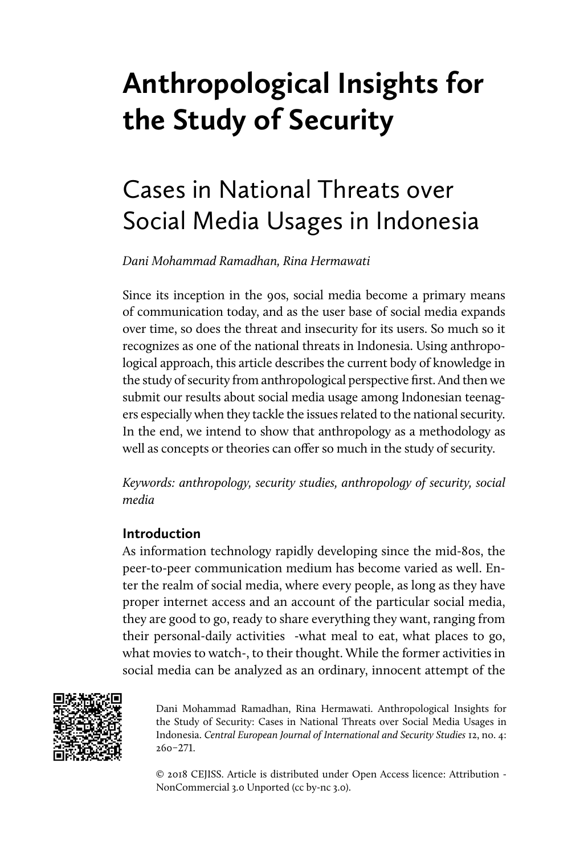# **Anthropological Insights for the Study of Security**

## Cases in National Threats over Social Media Usages in Indonesia

*Dani Mohammad Ramadhan, Rina Hermawati*

Since its inception in the 90s, social media become a primary means of communication today, and as the user base of social media expands over time, so does the threat and insecurity for its users. So much so it recognizes as one of the national threats in Indonesia. Using anthropological approach, this article describes the current body of knowledge in the study of security from anthropological perspective first. And then we submit our results about social media usage among Indonesian teenagers especially when they tackle the issues related to the national security. In the end, we intend to show that anthropology as a methodology as well as concepts or theories can offer so much in the study of security.

*Keywords: anthropology, security studies, anthropology of security, social media*

## **Introduction**

As information technology rapidly developing since the mid-80s, the peer-to-peer communication medium has become varied as well. Enter the realm of social media, where every people, as long as they have proper internet access and an account of the particular social media, they are good to go, ready to share everything they want, ranging from their personal-daily activities -what meal to eat, what places to go, what movies to watch-, to their thought. While the former activities in social media can be analyzed as an ordinary, innocent attempt of the



Dani Mohammad Ramadhan, Rina Hermawati. Anthropological Insights for the Study of Security: Cases in National Threats over Social Media Usages in Indonesia. *Central European Journal of International and Security Studies* 12, no. 4: 260–271.

© 2018 CEJISS. Article is distributed under Open Access licence: Attribution - NonCommercial 3.0 Unported (cc by-nc 3.0).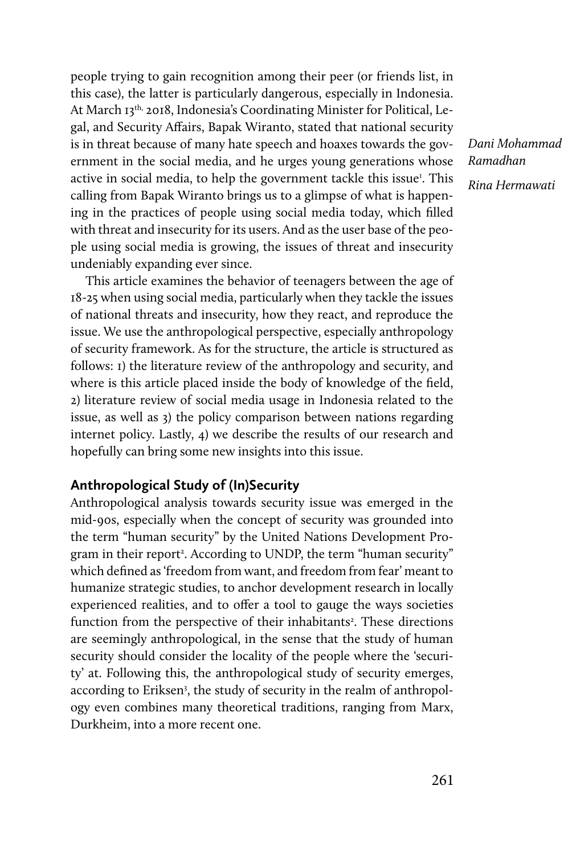people trying to gain recognition among their peer (or friends list, in this case), the latter is particularly dangerous, especially in Indonesia. At March 13th, 2018, Indonesia's Coordinating Minister for Political, Legal, and Security Affairs, Bapak Wiranto, stated that national security is in threat because of many hate speech and hoaxes towards the government in the social media, and he urges young generations whose active in social media, to help the government tackle this issue<sup>1</sup>. This calling from Bapak Wiranto brings us to a glimpse of what is happening in the practices of people using social media today, which filled with threat and insecurity for its users. And as the user base of the people using social media is growing, the issues of threat and insecurity undeniably expanding ever since.

This article examines the behavior of teenagers between the age of 18-25 when using social media, particularly when they tackle the issues of national threats and insecurity, how they react, and reproduce the issue. We use the anthropological perspective, especially anthropology of security framework. As for the structure, the article is structured as follows: 1) the literature review of the anthropology and security, and where is this article placed inside the body of knowledge of the field, 2) literature review of social media usage in Indonesia related to the issue, as well as 3) the policy comparison between nations regarding internet policy. Lastly, 4) we describe the results of our research and hopefully can bring some new insights into this issue.

### **Anthropological Study of (In)Security**

Anthropological analysis towards security issue was emerged in the mid-90s, especially when the concept of security was grounded into the term "human security" by the United Nations Development Program in their report<sup>2</sup>. According to UNDP, the term "human security" which defined as 'freedom from want, and freedom from fear' meant to humanize strategic studies, to anchor development research in locally experienced realities, and to offer a tool to gauge the ways societies function from the perspective of their inhabitants<sup>2</sup>. These directions are seemingly anthropological, in the sense that the study of human security should consider the locality of the people where the 'security' at. Following this, the anthropological study of security emerges, according to Eriksen<sup>3</sup>, the study of security in the realm of anthropology even combines many theoretical traditions, ranging from Marx, Durkheim, into a more recent one.

*Dani Mohammad Ramadhan Rina Hermawati*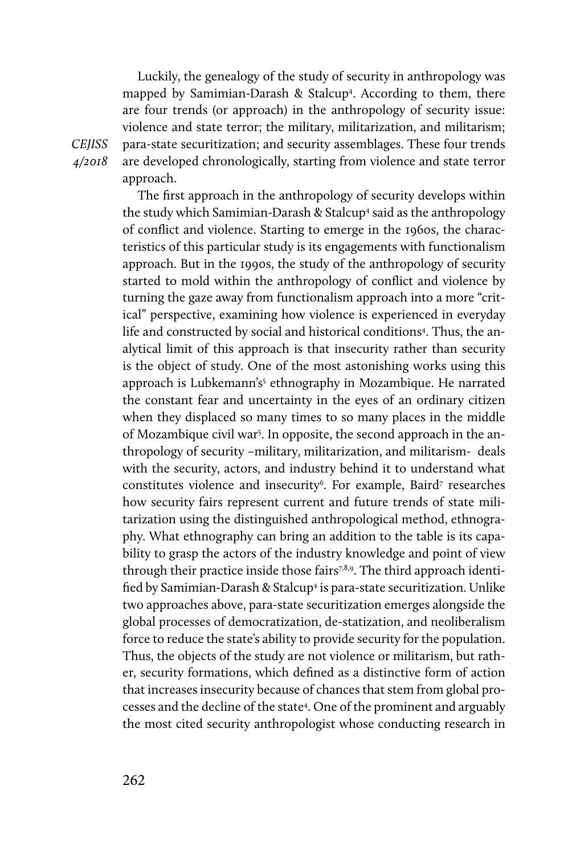Luckily, the genealogy of the study of security in anthropology was mapped by Samimian-Darash & Stalcup4 . According to them, there are four trends (or approach) in the anthropology of security issue: violence and state terror; the military, militarization, and militarism; para-state securitization; and security assemblages. These four trends are developed chronologically, starting from violence and state terror approach.

The first approach in the anthropology of security develops within the study which Samimian-Darash & Stalcup<sup>4</sup> said as the anthropology of conflict and violence. Starting to emerge in the 1960s, the characteristics of this particular study is its engagements with functionalism approach. But in the 1990s, the study of the anthropology of security started to mold within the anthropology of conflict and violence by turning the gaze away from functionalism approach into a more "critical" perspective, examining how violence is experienced in everyday life and constructed by social and historical conditions<sup>4</sup>. Thus, the analytical limit of this approach is that insecurity rather than security is the object of study. One of the most astonishing works using this approach is Lubkemann's<sup>5</sup> ethnography in Mozambique. He narrated the constant fear and uncertainty in the eyes of an ordinary citizen when they displaced so many times to so many places in the middle of Mozambique civil war<sup>5</sup>. In opposite, the second approach in the anthropology of security –military, militarization, and militarism- deals with the security, actors, and industry behind it to understand what constitutes violence and insecurity<sup>6</sup>. For example, Baird<sup>7</sup> researches how security fairs represent current and future trends of state militarization using the distinguished anthropological method, ethnography. What ethnography can bring an addition to the table is its capability to grasp the actors of the industry knowledge and point of view through their practice inside those fairs<sup>7,8,9</sup>. The third approach identified by Samimian-Darash & Stalcup4 is para-state securitization. Unlike two approaches above, para-state securitization emerges alongside the global processes of democratization, de-statization, and neoliberalism force to reduce the state's ability to provide security for the population. Thus, the objects of the study are not violence or militarism, but rather, security formations, which defined as a distinctive form of action that increases insecurity because of chances that stem from global processes and the decline of the state4 . One of the prominent and arguably the most cited security anthropologist whose conducting research in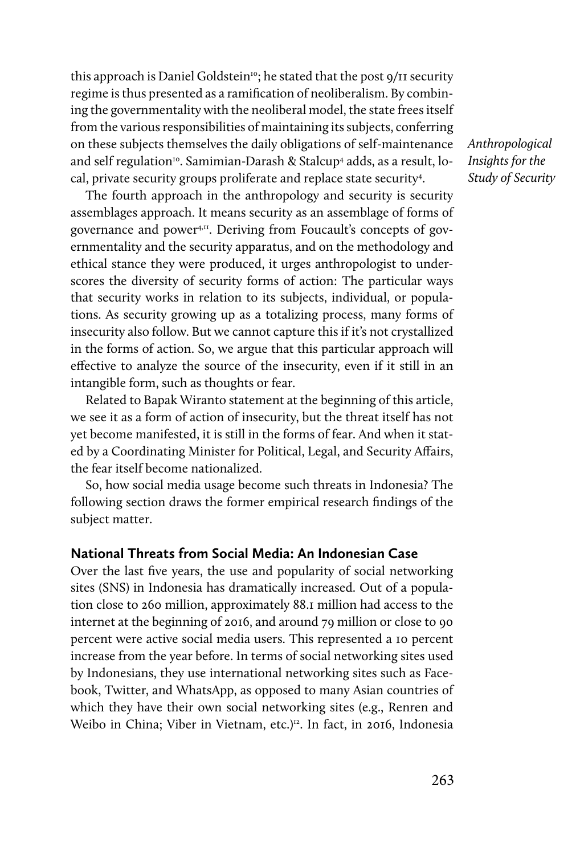this approach is Daniel Goldstein<sup>10</sup>; he stated that the post 9/11 security regime is thus presented as a ramification of neoliberalism. By combining the governmentality with the neoliberal model, the state frees itself from the various responsibilities of maintaining its subjects, conferring on these subjects themselves the daily obligations of self-maintenance and self regulation<sup>10</sup>. Samimian-Darash & Stalcup<sup>4</sup> adds, as a result, local, private security groups proliferate and replace state security<sup>4</sup>.

The fourth approach in the anthropology and security is security assemblages approach. It means security as an assemblage of forms of governance and power4,11. Deriving from Foucault's concepts of governmentality and the security apparatus, and on the methodology and ethical stance they were produced, it urges anthropologist to underscores the diversity of security forms of action: The particular ways that security works in relation to its subjects, individual, or populations. As security growing up as a totalizing process, many forms of insecurity also follow. But we cannot capture this if it's not crystallized in the forms of action. So, we argue that this particular approach will effective to analyze the source of the insecurity, even if it still in an intangible form, such as thoughts or fear.

Related to Bapak Wiranto statement at the beginning of this article, we see it as a form of action of insecurity, but the threat itself has not yet become manifested, it is still in the forms of fear. And when it stated by a Coordinating Minister for Political, Legal, and Security Affairs, the fear itself become nationalized.

So, how social media usage become such threats in Indonesia? The following section draws the former empirical research findings of the subject matter.

### **National Threats from Social Media: An Indonesian Case**

Over the last five years, the use and popularity of social networking sites (SNS) in Indonesia has dramatically increased. Out of a population close to 260 million, approximately 88.1 million had access to the internet at the beginning of 2016, and around 79 million or close to 90 percent were active social media users. This represented a 10 percent increase from the year before. In terms of social networking sites used by Indonesians, they use international networking sites such as Facebook, Twitter, and WhatsApp, as opposed to many Asian countries of which they have their own social networking sites (e.g., Renren and Weibo in China; Viber in Vietnam, etc.)<sup>12</sup>. In fact, in 2016, Indonesia *Anthropological Insights for the Study of Security*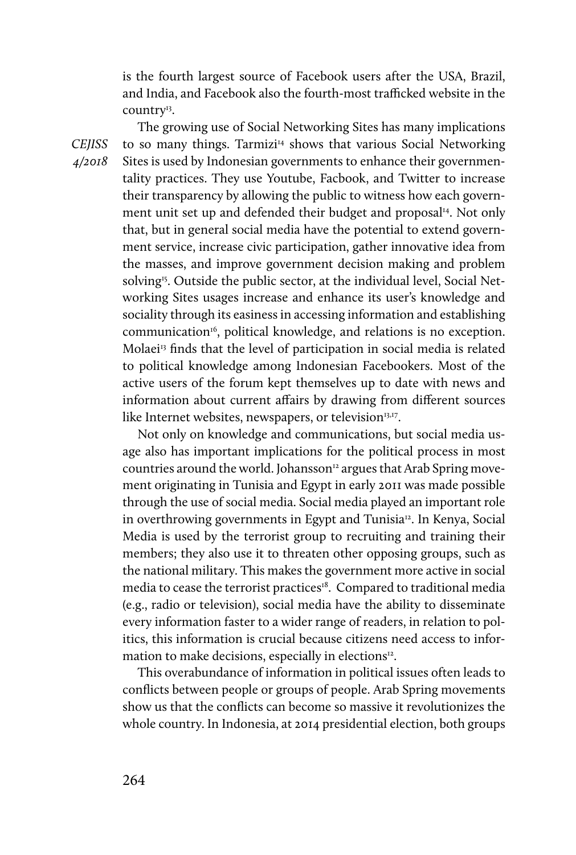is the fourth largest source of Facebook users after the USA, Brazil, and India, and Facebook also the fourth-most trafficked website in the country<sup>13</sup>.

The growing use of Social Networking Sites has many implications to so many things. Tarmizi<sup>14</sup> shows that various Social Networking Sites is used by Indonesian governments to enhance their governmentality practices. They use Youtube, Facbook, and Twitter to increase their transparency by allowing the public to witness how each government unit set up and defended their budget and proposal<sup>14</sup>. Not only that, but in general social media have the potential to extend government service, increase civic participation, gather innovative idea from the masses, and improve government decision making and problem solving<sup>15</sup>. Outside the public sector, at the individual level, Social Networking Sites usages increase and enhance its user's knowledge and sociality through its easiness in accessing information and establishing communication<sup>16</sup>, political knowledge, and relations is no exception. Molaei<sup>13</sup> finds that the level of participation in social media is related to political knowledge among Indonesian Facebookers. Most of the active users of the forum kept themselves up to date with news and information about current affairs by drawing from different sources like Internet websites, newspapers, or television<sup>13,17</sup>.

Not only on knowledge and communications, but social media usage also has important implications for the political process in most countries around the world. Johansson<sup>12</sup> argues that Arab Spring movement originating in Tunisia and Egypt in early 2011 was made possible through the use of social media. Social media played an important role in overthrowing governments in Egypt and Tunisia<sup>12</sup>. In Kenya, Social Media is used by the terrorist group to recruiting and training their members; they also use it to threaten other opposing groups, such as the national military. This makes the government more active in social media to cease the terrorist practices<sup>18</sup>. Compared to traditional media (e.g., radio or television), social media have the ability to disseminate every information faster to a wider range of readers, in relation to politics, this information is crucial because citizens need access to information to make decisions, especially in elections<sup>12</sup>.

This overabundance of information in political issues often leads to conflicts between people or groups of people. Arab Spring movements show us that the conflicts can become so massive it revolutionizes the whole country. In Indonesia, at 2014 presidential election, both groups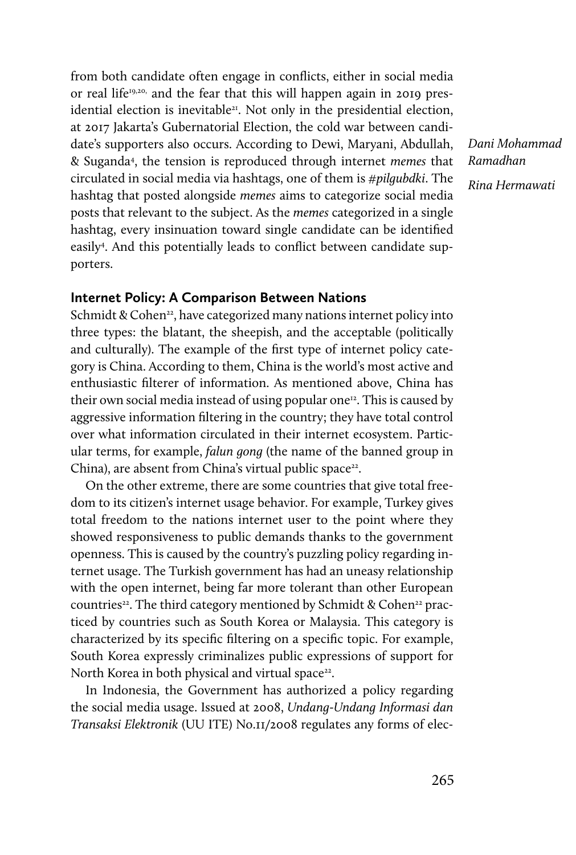from both candidate often engage in conflicts, either in social media or real life<sup>19,20,</sup> and the fear that this will happen again in 2019 presidential election is inevitable<sup>21</sup>. Not only in the presidential election, at 2017 Jakarta's Gubernatorial Election, the cold war between candidate's supporters also occurs. According to Dewi, Maryani, Abdullah, & Suganda4 , the tension is reproduced through internet *memes* that circulated in social media via hashtags, one of them is *#pilgubdki*. The hashtag that posted alongside *memes* aims to categorize social media posts that relevant to the subject. As the *memes* categorized in a single hashtag, every insinuation toward single candidate can be identified easily4 . And this potentially leads to conflict between candidate supporters.

*Dani Mohammad Ramadhan Rina Hermawati*

## **Internet Policy: A Comparison Between Nations**

Schmidt & Cohen<sup>22</sup>, have categorized many nations internet policy into three types: the blatant, the sheepish, and the acceptable (politically and culturally). The example of the first type of internet policy category is China. According to them, China is the world's most active and enthusiastic filterer of information. As mentioned above, China has their own social media instead of using popular one<sup>12</sup>. This is caused by aggressive information filtering in the country; they have total control over what information circulated in their internet ecosystem. Particular terms, for example, *falun gong* (the name of the banned group in China), are absent from China's virtual public space<sup>22</sup>.

On the other extreme, there are some countries that give total freedom to its citizen's internet usage behavior. For example, Turkey gives total freedom to the nations internet user to the point where they showed responsiveness to public demands thanks to the government openness. This is caused by the country's puzzling policy regarding internet usage. The Turkish government has had an uneasy relationship with the open internet, being far more tolerant than other European countries<sup>22</sup>. The third category mentioned by Schmidt & Cohen<sup>22</sup> practiced by countries such as South Korea or Malaysia. This category is characterized by its specific filtering on a specific topic. For example, South Korea expressly criminalizes public expressions of support for North Korea in both physical and virtual space<sup>22</sup>.

In Indonesia, the Government has authorized a policy regarding the social media usage. Issued at 2008, *Undang-Undang Informasi dan Transaksi Elektronik* (UU ITE) No.11/2008 regulates any forms of elec-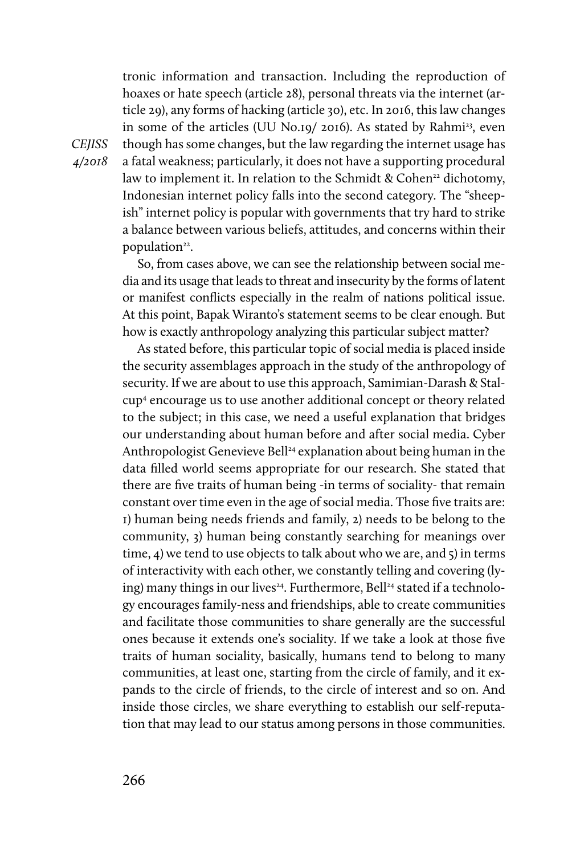tronic information and transaction. Including the reproduction of hoaxes or hate speech (article 28), personal threats via the internet (article 29), any forms of hacking (article 30), etc. In 2016, this law changes in some of the articles (UU No.19/ 2016). As stated by Rahmi<sup>23</sup>, even though has some changes, but the law regarding the internet usage has a fatal weakness; particularly, it does not have a supporting procedural law to implement it. In relation to the Schmidt & Cohen<sup>22</sup> dichotomy, Indonesian internet policy falls into the second category. The "sheepish" internet policy is popular with governments that try hard to strike a balance between various beliefs, attitudes, and concerns within their population<sup>22</sup>.

So, from cases above, we can see the relationship between social media and its usage that leads to threat and insecurity by the forms of latent or manifest conflicts especially in the realm of nations political issue. At this point, Bapak Wiranto's statement seems to be clear enough. But how is exactly anthropology analyzing this particular subject matter?

As stated before, this particular topic of social media is placed inside the security assemblages approach in the study of the anthropology of security. If we are about to use this approach, Samimian-Darash & Stalcup4 encourage us to use another additional concept or theory related to the subject; in this case, we need a useful explanation that bridges our understanding about human before and after social media. Cyber Anthropologist Genevieve Bell<sup>24</sup> explanation about being human in the data filled world seems appropriate for our research. She stated that there are five traits of human being -in terms of sociality- that remain constant over time even in the age of social media. Those five traits are: 1) human being needs friends and family, 2) needs to be belong to the community, 3) human being constantly searching for meanings over time, 4) we tend to use objects to talk about who we are, and 5) in terms of interactivity with each other, we constantly telling and covering (lying) many things in our lives<sup>24</sup>. Furthermore, Bell<sup>24</sup> stated if a technology encourages family-ness and friendships, able to create communities and facilitate those communities to share generally are the successful ones because it extends one's sociality. If we take a look at those five traits of human sociality, basically, humans tend to belong to many communities, at least one, starting from the circle of family, and it expands to the circle of friends, to the circle of interest and so on. And inside those circles, we share everything to establish our self-reputation that may lead to our status among persons in those communities.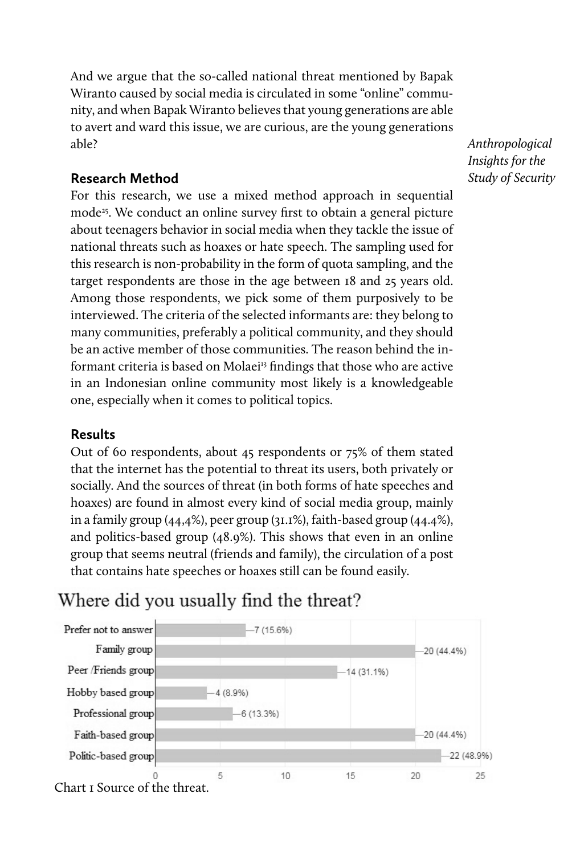And we argue that the so-called national threat mentioned by Bapak Wiranto caused by social media is circulated in some "online" community, and when Bapak Wiranto believes that young generations are able to avert and ward this issue, we are curious, are the young generations able?

## **Research Method**

For this research, we use a mixed method approach in sequential mode<sup>25</sup>. We conduct an online survey first to obtain a general picture about teenagers behavior in social media when they tackle the issue of national threats such as hoaxes or hate speech. The sampling used for this research is non-probability in the form of quota sampling, and the target respondents are those in the age between 18 and 25 years old. Among those respondents, we pick some of them purposively to be interviewed. The criteria of the selected informants are: they belong to many communities, preferably a political community, and they should be an active member of those communities. The reason behind the informant criteria is based on Molaei<sup>13</sup> findings that those who are active in an Indonesian online community most likely is a knowledgeable one, especially when it comes to political topics.

## **Results**

Out of 60 respondents, about 45 respondents or 75% of them stated that the internet has the potential to threat its users, both privately or socially. And the sources of threat (in both forms of hate speeches and hoaxes) are found in almost every kind of social media group, mainly in a family group (44,4%), peer group (31.1%), faith-based group (44.4%), and politics-based group (48.9%). This shows that even in an online group that seems neutral (friends and family), the circulation of a post that contains hate speeches or hoaxes still can be found easily.

## Where did you usually find the threat?



*Anthropological Insights for the Study of Security*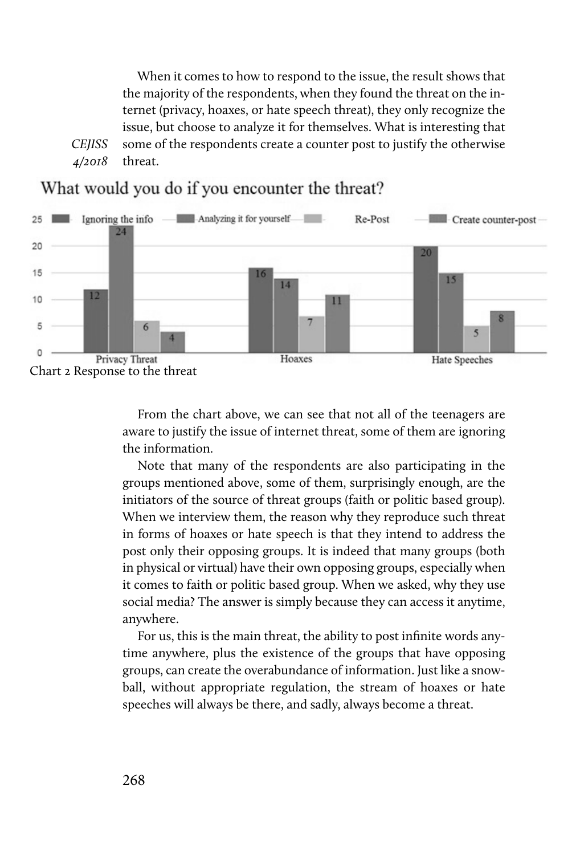*CEJISS 4/2018*  When it comes to how to respond to the issue, the result shows that the majority of the respondents, when they found the threat on the internet (privacy, hoaxes, or hate speech threat), they only recognize the issue, but choose to analyze it for themselves. What is interesting that some of the respondents create a counter post to justify the otherwise threat.



What would you do if you encounter the threat?

From the chart above, we can see that not all of the teenagers are aware to justify the issue of internet threat, some of them are ignoring the information.

Note that many of the respondents are also participating in the groups mentioned above, some of them, surprisingly enough, are the initiators of the source of threat groups (faith or politic based group). When we interview them, the reason why they reproduce such threat in forms of hoaxes or hate speech is that they intend to address the post only their opposing groups. It is indeed that many groups (both in physical or virtual) have their own opposing groups, especially when it comes to faith or politic based group. When we asked, why they use social media? The answer is simply because they can access it anytime, anywhere.

For us, this is the main threat, the ability to post infinite words anytime anywhere, plus the existence of the groups that have opposing groups, can create the overabundance of information. Just like a snowball, without appropriate regulation, the stream of hoaxes or hate speeches will always be there, and sadly, always become a threat.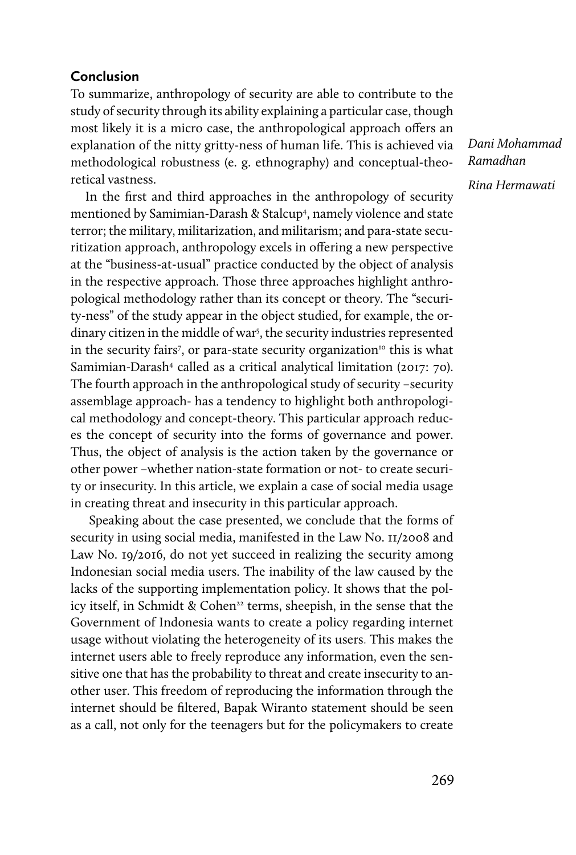## **Conclusion**

To summarize, anthropology of security are able to contribute to the study of security through its ability explaining a particular case, though most likely it is a micro case, the anthropological approach offers an explanation of the nitty gritty-ness of human life. This is achieved via methodological robustness (e. g. ethnography) and conceptual-theoretical vastness.

In the first and third approaches in the anthropology of security mentioned by Samimian-Darash & Stalcup4 , namely violence and state terror; the military, militarization, and militarism; and para-state securitization approach, anthropology excels in offering a new perspective at the "business-at-usual" practice conducted by the object of analysis in the respective approach. Those three approaches highlight anthropological methodology rather than its concept or theory. The "security-ness" of the study appear in the object studied, for example, the ordinary citizen in the middle of war<sup>5</sup>, the security industries represented in the security fairs<sup>7</sup>, or para-state security organization<sup>10</sup> this is what Samimian-Darash<sup>4</sup> called as a critical analytical limitation (2017: 70). The fourth approach in the anthropological study of security –security assemblage approach- has a tendency to highlight both anthropological methodology and concept-theory. This particular approach reduces the concept of security into the forms of governance and power. Thus, the object of analysis is the action taken by the governance or other power –whether nation-state formation or not- to create security or insecurity. In this article, we explain a case of social media usage in creating threat and insecurity in this particular approach.

Speaking about the case presented, we conclude that the forms of security in using social media, manifested in the Law No. 11/2008 and Law No. 19/2016, do not yet succeed in realizing the security among Indonesian social media users. The inability of the law caused by the lacks of the supporting implementation policy. It shows that the policy itself, in Schmidt & Cohen<sup>22</sup> terms, sheepish, in the sense that the Government of Indonesia wants to create a policy regarding internet usage without violating the heterogeneity of its users. This makes the internet users able to freely reproduce any information, even the sensitive one that has the probability to threat and create insecurity to another user. This freedom of reproducing the information through the internet should be filtered, Bapak Wiranto statement should be seen as a call, not only for the teenagers but for the policymakers to create

*Dani Mohammad Ramadhan Rina Hermawati*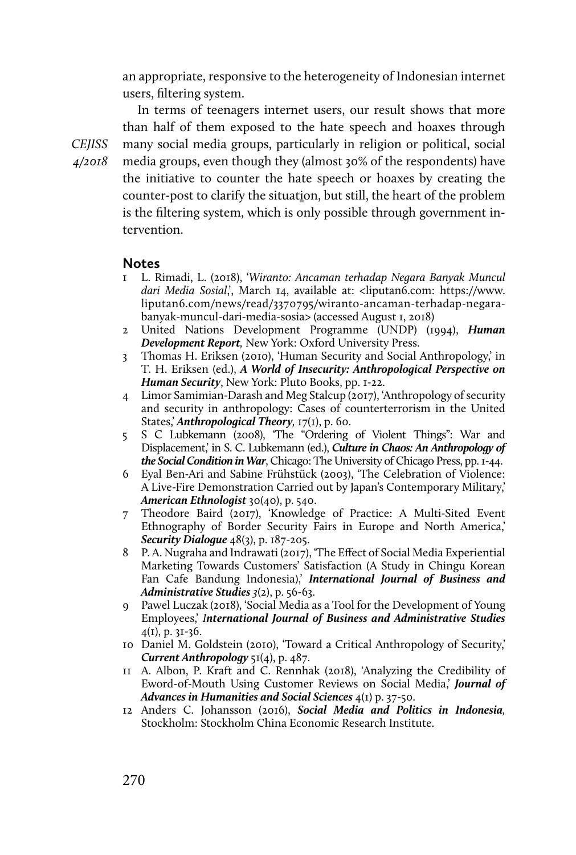an appropriate, responsive to the heterogeneity of Indonesian internet users, filtering system.

In terms of teenagers internet users, our result shows that more than half of them exposed to the hate speech and hoaxes through many social media groups, particularly in religion or political, social media groups, even though they (almost 30% of the respondents) have the initiative to counter the hate speech or hoaxes by creating the counter-post to clarify the situation, but still, the heart of the problem is the filtering system, which is only possible through government intervention.

#### **Notes**

- 1 L. Rimadi, L. (2018), '*Wiranto: Ancaman terhadap Negara Banyak Muncul dari Media Sosial*,', March 14, available at: <liputan6.com: https://www. liputan6.com/news/read/3370795/wiranto-ancaman-terhadap-negarabanyak-muncul-dari-media-sosia> (accessed August 1, 2018)
- 2 United Nations Development Programme (UNDP) (1994), *Human Development Report,* New York: Oxford University Press.
- 3 Thomas H. Eriksen (2010), 'Human Security and Social Anthropology,' in T. H. Eriksen (ed.), *A World of Insecurity: Anthropological Perspective on Human Security*, New York: Pluto Books, pp. 1-22.
- 4 Limor Samimian-Darash and Meg Stalcup (2017), 'Anthropology of security and security in anthropology: Cases of counterterrorism in the United States,' *Anthropological Theory,* 17(1), p. 60.
- 5 S C Lubkemann (2008), 'The "Ordering of Violent Things": War and Displacement,' in S. C. Lubkemann (ed.), *Culture in Chaos: An Anthropology of the Social Condition in War*, Chicago: The University of Chicago Press, pp. 1-44.
- 6 Eyal Ben‐Ari and Sabine Frühstück (2003), 'The Celebration of Violence: A Live-Fire Demonstration Carried out by Japan's Contemporary Military,' *American Ethnologist* 30(40), p. 540.
- 7 Theodore Baird (2017), 'Knowledge of Practice: A Multi-Sited Event Ethnography of Border Security Fairs in Europe and North America,' *Security Dialogue* 48(3), p. 187-205.
- 8 P. A. Nugraha and Indrawati (2017), 'The Effect of Social Media Experiential Marketing Towards Customers' Satisfaction (A Study in Chingu Korean Fan Cafe Bandung Indonesia),' *International Journal of Business and Administrative Studies 3*(2), p. 56-63.
- 9 Pawel Luczak (2018), 'Social Media as a Tool for the Development of Young Employees,' *International Journal of Business and Administrative Studies*  $4(I), p. 3I-36.$
- 10 Daniel M. Goldstein (2010), 'Toward a Critical Anthropology of Security,' *Current Anthropology* 51(4), p. 487.
- 11 A. Albon, P. Kraft and C. Rennhak (2018), 'Analyzing the Credibility of Eword-of-Mouth Using Customer Reviews on Social Media,' *Journal of Advances in Humanities and Social Sciences* 4(1) p. 37-50.
- 12 Anders C. Johansson (2016), *Social Media and Politics in Indonesia,* Stockholm: Stockholm China Economic Research Institute.